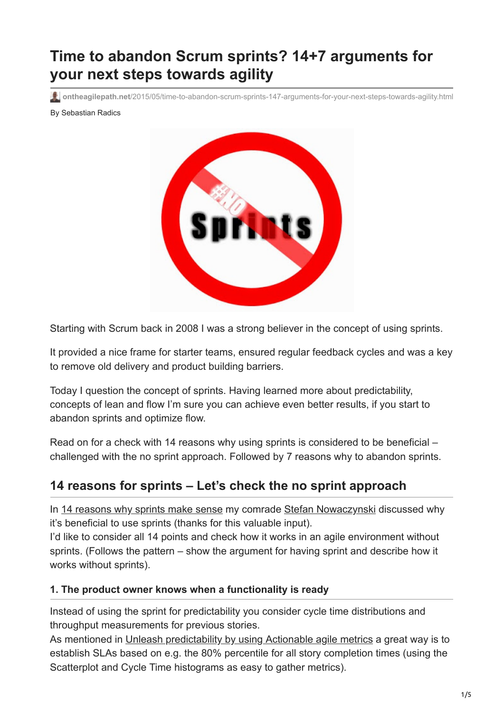# **Time to abandon Scrum sprints? 14+7 arguments for your next steps towards agility**

**ontheagilepath.net**[/2015/05/time-to-abandon-scrum-sprints-147-arguments-for-your-next-steps-towards-agility.html](https://www.ontheagilepath.net/2015/05/time-to-abandon-scrum-sprints-147-arguments-for-your-next-steps-towards-agility.html)

By Sebastian Radics



Starting with Scrum back in 2008 I was a strong believer in the concept of using sprints.

It provided a nice frame for starter teams, ensured regular feedback cycles and was a key to remove old delivery and product building barriers.

Today I question the concept of sprints. Having learned more about predictability, concepts of lean and flow I'm sure you can achieve even better results, if you start to abandon sprints and optimize flow.

Read on for a check with 14 reasons why using sprints is considered to be beneficial – challenged with the no sprint approach. Followed by 7 reasons why to abandon sprints.

# **14 reasons for sprints – Let's check the no sprint approach**

In [14 reasons why sprints make sense](http://www.stefan-nowaczynski.de/weshalb-sprints-einfach-sinn-ergeben/) my comrade [Stefan Nowaczynski](https://about.me/nowaczynski) discussed why it's beneficial to use sprints (thanks for this valuable input).

I'd like to consider all 14 points and check how it works in an agile environment without sprints. (Follows the pattern – show the argument for having sprint and describe how it works without sprints).

#### **1. The product owner knows when a functionality is ready**

Instead of using the sprint for predictability you consider cycle time distributions and throughput measurements for previous stories.

As mentioned in [Unleash predictability by using Actionable agile metrics](http://www.ontheagilepath.net/2015/04/unleash-predictability-by-using.html) a great way is to establish SLAs based on e.g. the 80% percentile for all story completion times (using the Scatterplot and Cycle Time histograms as easy to gather metrics).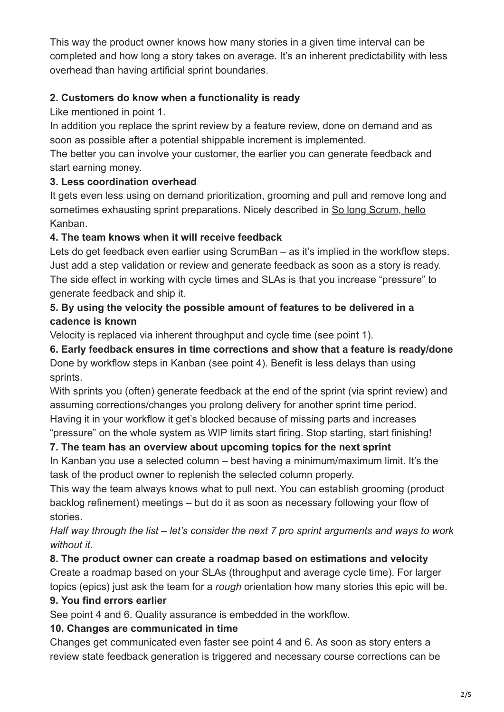This way the product owner knows how many stories in a given time interval can be completed and how long a story takes on average. It's an inherent predictability with less overhead than having artificial sprint boundaries.

### **2. Customers do know when a functionality is ready**

Like mentioned in point 1.

In addition you replace the sprint review by a feature review, done on demand and as soon as possible after a potential shippable increment is implemented.

The better you can involve your customer, the earlier you can generate feedback and start earning money.

#### **3. Less coordination overhead**

It gets even less using on demand prioritization, grooming and pull and remove long and [sometimes exhausting sprint preparations. Nicely described in So long Scrum, hello](https://stormpath.com/blog/so-long-scrum-hello-kanban/) Kanban.

#### **4. The team knows when it will receive feedback**

Lets do get feedback even earlier using ScrumBan – as it's implied in the workflow steps. Just add a step validation or review and generate feedback as soon as a story is ready. The side effect in working with cycle times and SLAs is that you increase "pressure" to generate feedback and ship it.

### **5. By using the velocity the possible amount of features to be delivered in a cadence is known**

Velocity is replaced via inherent throughput and cycle time (see point 1).

**6. Early feedback ensures in time corrections and show that a feature is ready/done** Done by workflow steps in Kanban (see point 4). Benefit is less delays than using sprints.

With sprints you (often) generate feedback at the end of the sprint (via sprint review) and assuming corrections/changes you prolong delivery for another sprint time period. Having it in your workflow it get's blocked because of missing parts and increases "pressure" on the whole system as WIP limits start firing. Stop starting, start finishing!

#### **7. The team has an overview about upcoming topics for the next sprint**

In Kanban you use a selected column – best having a minimum/maximum limit. It's the task of the product owner to replenish the selected column properly.

This way the team always knows what to pull next. You can establish grooming (product backlog refinement) meetings – but do it as soon as necessary following your flow of stories.

#### *Half way through the list – let's consider the next 7 pro sprint arguments and ways to work without it.*

#### **8. The product owner can create a roadmap based on estimations and velocity**

Create a roadmap based on your SLAs (throughput and average cycle time). For larger topics (epics) just ask the team for a *rough* orientation how many stories this epic will be.

#### **9. You find errors earlier**

See point 4 and 6. Quality assurance is embedded in the workflow.

#### **10. Changes are communicated in time**

Changes get communicated even faster see point 4 and 6. As soon as story enters a review state feedback generation is triggered and necessary course corrections can be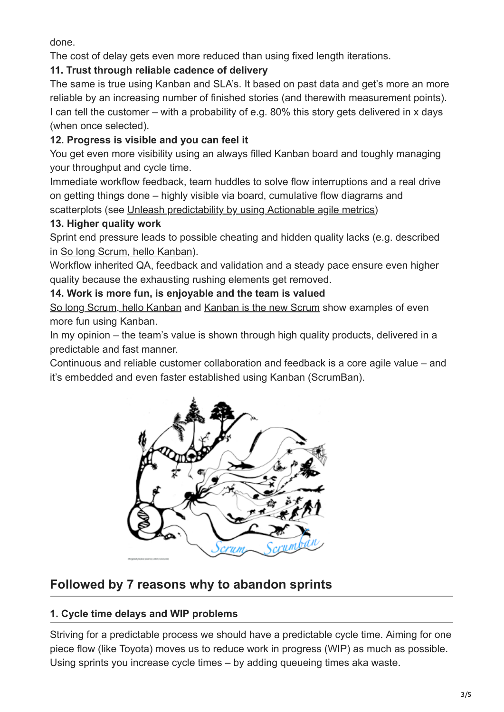done.

The cost of delay gets even more reduced than using fixed length iterations.

# **11. Trust through reliable cadence of delivery**

The same is true using Kanban and SLA's. It based on past data and get's more an more reliable by an increasing number of finished stories (and therewith measurement points). I can tell the customer – with a probability of e.g. 80% this story gets delivered in x days (when once selected).

# **12. Progress is visible and you can feel it**

You get even more visibility using an always filled Kanban board and toughly managing your throughput and cycle time.

Immediate workflow feedback, team huddles to solve flow interruptions and a real drive on getting things done – highly visible via board, cumulative flow diagrams and scatterplots (see [Unleash predictability by using Actionable agile metrics\)](http://www.ontheagilepath.net/2015/04/unleash-predictability-by-using.html)

#### **13. Higher quality work**

Sprint end pressure leads to possible cheating and hidden quality lacks (e.g. described in [So long Scrum, hello Kanban](https://stormpath.com/blog/so-long-scrum-hello-kanban/)).

Workflow inherited QA, feedback and validation and a steady pace ensure even higher quality because the exhausting rushing elements get removed.

#### **14. Work is more fun, is enjoyable and the team is valued**

[So long Scrum, hello Kanban](https://stormpath.com/blog/so-long-scrum-hello-kanban/) and [Kanban is the new Scrum](http://www.hackerchick.com/2012/01/kanban-is-the-new-scrum.html) show examples of even more fun using Kanban.

In my opinion – the team's value is shown through high quality products, delivered in a predictable and fast manner.

Continuous and reliable customer collaboration and feedback is a core agile value – and it's embedded and even faster established using Kanban (ScrumBan).



# **Followed by 7 reasons why to abandon sprints**

# **1. Cycle time delays and WIP problems**

Striving for a predictable process we should have a predictable cycle time. Aiming for one piece flow (like Toyota) moves us to reduce work in progress (WIP) as much as possible. Using sprints you increase cycle times – by adding queueing times aka waste.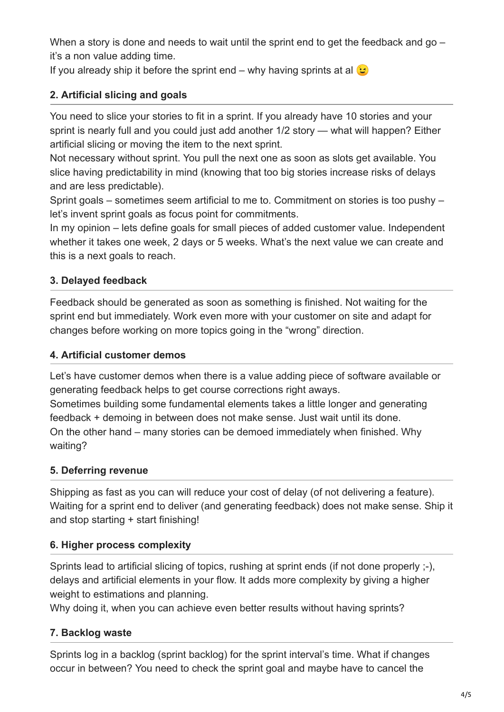When a story is done and needs to wait until the sprint end to get the feedback and go – it's a non value adding time.

If you already ship it before the sprint end – why having sprints at al  $\odot$ 

# **2. Artificial slicing and goals**

You need to slice your stories to fit in a sprint. If you already have 10 stories and your sprint is nearly full and you could just add another 1/2 story — what will happen? Either artificial slicing or moving the item to the next sprint.

Not necessary without sprint. You pull the next one as soon as slots get available. You slice having predictability in mind (knowing that too big stories increase risks of delays and are less predictable).

Sprint goals – sometimes seem artificial to me to. Commitment on stories is too pushy – let's invent sprint goals as focus point for commitments.

In my opinion – lets define goals for small pieces of added customer value. Independent whether it takes one week, 2 days or 5 weeks. What's the next value we can create and this is a next goals to reach.

# **3. Delayed feedback**

Feedback should be generated as soon as something is finished. Not waiting for the sprint end but immediately. Work even more with your customer on site and adapt for changes before working on more topics going in the "wrong" direction.

### **4. Artificial customer demos**

Let's have customer demos when there is a value adding piece of software available or generating feedback helps to get course corrections right aways. Sometimes building some fundamental elements takes a little longer and generating feedback + demoing in between does not make sense. Just wait until its done. On the other hand – many stories can be demoed immediately when finished. Why waiting?

# **5. Deferring revenue**

Shipping as fast as you can will reduce your cost of delay (of not delivering a feature). Waiting for a sprint end to deliver (and generating feedback) does not make sense. Ship it and stop starting + start finishing!

# **6. Higher process complexity**

Sprints lead to artificial slicing of topics, rushing at sprint ends (if not done properly ;-), delays and artificial elements in your flow. It adds more complexity by giving a higher weight to estimations and planning.

Why doing it, when you can achieve even better results without having sprints?

# **7. Backlog waste**

Sprints log in a backlog (sprint backlog) for the sprint interval's time. What if changes occur in between? You need to check the sprint goal and maybe have to cancel the